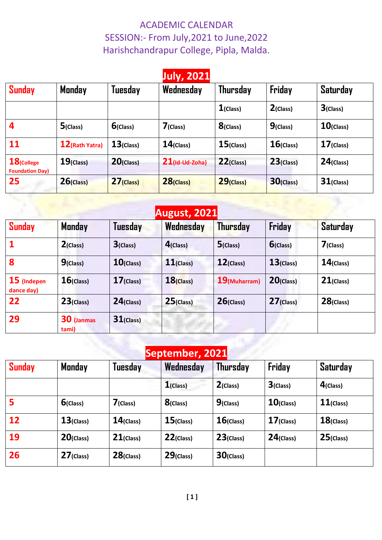### ACADEMIC CALENDAR SESSION:- From July,2021 to June,2022 Harishchandrapur College, Pipla, Malda.

## **July, 2021**

| <b>Sunday</b>                           | Monday         | Tuesday      | Wednesday         | <b>Thursday</b> | <b>Friday</b> | <b>Saturday</b> |
|-----------------------------------------|----------------|--------------|-------------------|-----------------|---------------|-----------------|
|                                         |                |              |                   | $1$ (Class)     | $2$ (Class)   | $3$ (Class)     |
| 4                                       | $5$ (Class)    | $6$ (Class)  | $7$ (Class)       | $8$ (Class)     | $9$ (Class)   | $10$ (Class)    |
| 11                                      | 12(Rath Yatra) | $13$ (Class) | $14$ (Class)      | $15$ (Class)    | $16$ (Class)  | $17$ (Class)    |
| $18$ (College<br><b>Foundation Day)</b> | $19$ (Class)   | $20$ (Class) | $21$ (Id-Ud-Zoha) | $22$ (Class)    | $23$ (Class)  | $24$ (Class)    |
| 25                                      | $26$ (Class)   | $27$ (Class) | $28$ (Class)      | $29$ (Class)    | $30$ (Class)  | $31$ (Class)    |

|                             |                     |                | <b>August, 2021</b> |                 |              |                 |
|-----------------------------|---------------------|----------------|---------------------|-----------------|--------------|-----------------|
| Sunday                      | Monday              | <b>Tuesday</b> | Wednesday           | Thursday        | Friday       | <b>Saturday</b> |
| $\mathbf 1$                 | $2$ (Class)         | $3$ (Class)    | $4$ (Class)         | $5$ (Class)     | $6$ (Class)  | $7$ (Class)     |
| 8                           | $9$ (Class)         | $10$ (Class)   | $11$ (Class)        | $12$ (Class)    | $13$ (Class) | $14$ (Class)    |
| $15$ (Indepen<br>dance day) | $16$ (Class)        | $17$ (Class)   | $18$ (Class)        | $19$ (Muharram) | $20$ (Class) | $21$ (Class)    |
| 22                          | $23$ (Class)        | $24$ (Class)   | $25$ (Class)        | $26$ (Class)    | $27$ (Class) | $28$ (Class)    |
| 29                          | 30 (Janmas<br>tami) | $31$ (Class)   |                     |                 |              |                 |

# **September, 2021**

| <b>Sunday</b> | Monday       | Tuesday      | Wednesday            | <b>Thursday</b> | Friday       | <b>Saturday</b> |
|---------------|--------------|--------------|----------------------|-----------------|--------------|-----------------|
|               |              |              | $\mathbf{1}$ (Class) | $2$ (Class)     | $3$ (Class)  | $4$ (Class)     |
| 5             | $6$ (Class)  | $7$ (Class)  | $8$ (Class)          | $9$ (Class)     | $10$ (Class) | $11$ (Class)    |
| 12            | $13$ (Class) | $14$ (Class) | $15$ (Class)         | $16$ (Class)    | $17$ (Class) | $18$ (Class)    |
| 19            | $20$ (Class) | $21$ (Class) | $22$ (Class)         | $23$ (Class)    | $24$ (Class) | $25$ (Class)    |
| 26            | $27$ (Class) | $28$ (Class) | $29$ (Class)         | $30$ (Class)    |              |                 |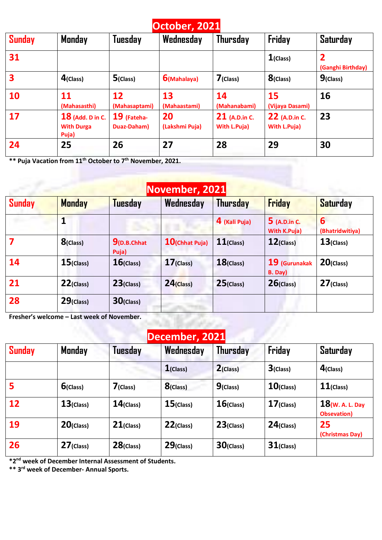### **October, 2021**

| <b>Sunday</b>           | Monday                                           | Tuesday                      | Wednesday            | <b>Thursday</b>                        | Friday                               | Saturday                                     |
|-------------------------|--------------------------------------------------|------------------------------|----------------------|----------------------------------------|--------------------------------------|----------------------------------------------|
| 31                      |                                                  |                              |                      |                                        | $1$ (Class)                          | $\overline{\mathbf{2}}$<br>(Ganghi Birthday) |
| $\overline{\mathbf{3}}$ | $4$ (Class)                                      | $5$ (Class)                  | $6$ (Mahalaya)       | $7$ (Class)                            | 8(Class)                             | $9$ (Class)                                  |
| <b>10</b>               | 11<br>(Mahasasthi)                               | 12<br>(Mahasaptami)          | 13<br>(Mahaastami)   | 14<br>(Mahanabami)                     | <b>15</b><br>(Vijaya Dasami)         | <b>16</b>                                    |
| 17                      | $18$ (Add. D in C.<br><b>With Durga</b><br>Puja) | $19$ (Fateha-<br>Duaz-Daham) | 20<br>(Lakshmi Puja) | $21$ (A.D.in C.<br><b>With L.Puja)</b> | 22 (A.D.in C.<br><b>With L.Puja)</b> | 23                                           |
| 24                      | 25                                               | 26                           | 27                   | 28                                     | 29                                   | 30                                           |

**\*\* Puja Vacation from 11th October to 7th November, 2021.**

#### **November, 2021 Sunday Monday Tuesday Wednesday Thursday Friday Saturday 1 4 (Kali Puja) 5 (A.D.in C. With K.Puja) 6 (Bhatridwitiya) 7 8(Class) 9(D.B.Chhat Puja) 10(Chhat Puja) 11(Class) 12(Class) 13(Class) 14 15(Class) 16(Class) 17(Class) 18(Class) 19 (Gurunakak B. Day) 20(Class) 21 22(Class) 23(Class) 24(Class) 25(Class) 26(Class) 27(Class) 28 29(Class) 30(Class)**

**Fresher's welcome – Last week of November.** 

#### **December, 2021**

| <b>Sunday</b> | Monday       | <b>Tuesday</b> | Wednesday    | <b>Thursday</b> | Friday       | <b>Saturday</b>                   |
|---------------|--------------|----------------|--------------|-----------------|--------------|-----------------------------------|
|               |              |                | $1$ (Class)  | $2$ (Class)     | $3$ (Class)  | $4$ (Class)                       |
| 5             | $6$ (Class)  | $7$ (Class)    | $8$ (Class)  | $9$ (Class)     | $10$ (Class) | $11$ (Class)                      |
| 12            | $13$ (Class) | $14$ (Class)   | $15$ (Class) | $16$ (Class)    | $17$ (Class) | $18$ (W. A. L. Day<br>Obsevation) |
| 19            | $20$ (Class) | $21$ (Class)   | $22$ (Class) | $23$ (Class)    | $24$ (Class) | 25<br>(Christmas Day)             |
| 26            | $27$ (Class) | $28$ (Class)   | $29$ (Class) | $30$ (Class)    | $31$ (Class) |                                   |

**\*2nd week of December Internal Assessment of Students.**

**\*\* 3rd week of December- Annual Sports.**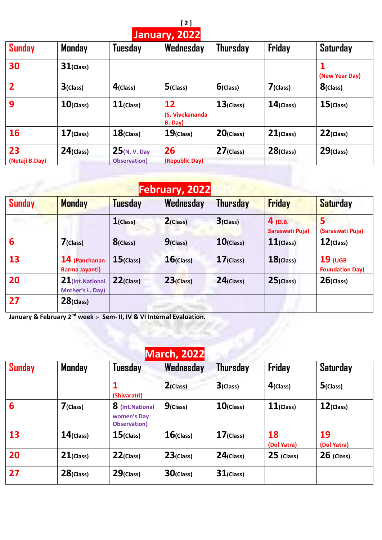| January, 2022 |  |
|---------------|--|

| <b>Sunday</b>        | Monday       | <b>Tuesday</b>                        | . .<br>Wednesday                 | <b>Thursday</b> | Friday       | Saturday       |
|----------------------|--------------|---------------------------------------|----------------------------------|-----------------|--------------|----------------|
| 30                   | $31$ (Class) |                                       |                                  |                 |              | (New Year Day) |
| 2                    | $3$ (Class)  | $4$ (Class)                           | $5$ (Class)                      | $6$ (Class)     | $7$ (Class)  | $8$ (Class)    |
| 9                    | $10$ (Class) | $11$ (Class)                          | 12<br>(S. Vivekananda<br>B. Day) | $13$ (Class)    | $14$ (Class) | $15$ (Class)   |
| <b>16</b>            | $17$ (Class) | $18$ (Class)                          | $19$ (Class)                     | $20$ (Class)    | $21$ (Class) | $22$ (Class)   |
| 23<br>(Netaji B.Day) | $24$ (Class) | 25(N. V. Day)<br><b>Observation</b> ) | 26<br>(Republic Day)             | $27$ (Class)    | $28$ (Class) | $29$ (Class)   |

#### **February, 2022**

|               |                                        |                | <u>i CMI WWI yj EVEE</u> |                 |                              |                                     |
|---------------|----------------------------------------|----------------|--------------------------|-----------------|------------------------------|-------------------------------------|
| <b>Sunday</b> | <b>Monday</b>                          | <b>Tuesday</b> | Wednesday                | <b>Thursday</b> | <b>Friday</b>                | Saturday                            |
|               |                                        | $1$ (Class)    | $2$ (Class)              | $3$ (Class)     | $4$ (D.B.<br>Saraswati Puja) | 5<br>(Saraswati Puja)               |
| 6             | $7$ (Class)                            | 8(Class)       | $9$ (Class)              | $10$ (Class)    | $11$ (Class)                 | $12$ (Class)                        |
| 13            | 14 (Panchanan<br><b>Barma Jayanti)</b> | $15$ (Class)   | $16$ (Class)             | $17$ (Class)    | $18$ (Class)                 | $19$ (UGB<br><b>Foundation Day)</b> |
| 20            | 21(Int.National<br>Mother's L. Day)    | $22$ (Class)   | $23$ (Class)             | $24$ (Class)    | $25$ (Class)                 | $26$ (Class)                        |
| 27            | $28$ (Class)                           |                |                          |                 |                              |                                     |

**January & February 2nd week :- Sem- II, IV & VI Internal Evaluation.**

## **March, 2022**

| <b>Sunday</b> | Monday       | <b>Tuesday</b>                                 | Wednesday    | <b>Thursday</b> | Friday            | <b>Saturday</b>          |
|---------------|--------------|------------------------------------------------|--------------|-----------------|-------------------|--------------------------|
|               |              | (Shivaratri)                                   | $2$ (Class)  | $3$ (Class)     | $4$ (Class)       | $5$ (Class)              |
| 6             | $7$ (Class)  | 8 (Int.National<br>women's Day<br>Observation) | $9$ (Class)  | $10$ (Class)    | $11$ (Class)      | $12$ (Class)             |
| 13            | $14$ (Class) | $15$ (Class)                                   | $16$ (Class) | $17$ (Class)    | 18<br>(Dol Yatra) | <b>19</b><br>(Dol Yatra) |
| 20            | $21$ (Class) | $22$ (Class)                                   | $23$ (Class) | $24$ (Class)    | $25$ (Class)      | $26$ (Class)             |
| 27            | $28$ (Class) | $29$ (Class)                                   | $30$ (Class) | $31$ (Class)    |                   |                          |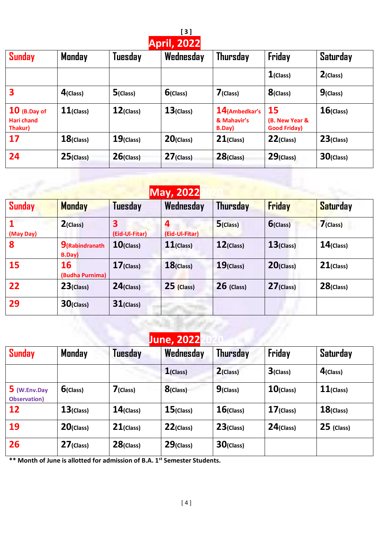

| <b>Sunday</b>                                  | Monday       | Tuesday      | Wednesday    | <b>Thursday</b>                        | <b>Friday</b>                               | Saturday     |
|------------------------------------------------|--------------|--------------|--------------|----------------------------------------|---------------------------------------------|--------------|
|                                                |              |              |              |                                        | $1$ (Class)                                 | $2$ (Class)  |
| 3                                              | $4$ (Class)  | $5$ (Class)  | $6$ (Class)  | $7$ (Class)                            | 8(Class)                                    | $9$ (Class)  |
| $10$ (B.Day of<br><b>Hari chand</b><br>Thakur) | $11$ (Class) | $12$ (Class) | $13$ (Class) | 14(Ambedkar's<br>& Mahavir's<br>B.Day) | 15<br>(B. New Year &<br><b>Good Friday)</b> | $16$ (Class) |
| 17                                             | $18$ (Class) | $19$ (Class) | $20$ (Class) | $21$ (Class)                           | $22$ (Class)                                | $23$ (Class) |
| 24                                             | $25$ (Class) | $26$ (Class) | $27$ (Class) | $28$ (Class)                           | $29$ (Class)                                | $30$ (Class) |

|               | <b>May, 2022</b>                        |                     |                     |                 |                  |              |  |  |  |
|---------------|-----------------------------------------|---------------------|---------------------|-----------------|------------------|--------------|--|--|--|
| <b>Sunday</b> | <b>Monday</b>                           | <b>Tuesday</b>      | Wednesday           | <b>Thursday</b> | <b>Friday</b>    | Saturday     |  |  |  |
| (May Day)     | $2$ (Class)                             | 3<br>(Eid-Ul-Fitar) | 4<br>(Eid-Ul-Fitar) | $5$ (Class)     | <b>6</b> (Class) | $7$ (Class)  |  |  |  |
| 8             | <b>9</b> (Rabindranath<br><b>B.Day)</b> | $10$ (Class)        | $11$ (Class)        | $12$ (Class)    | $13$ (Class)     | $14$ (Class) |  |  |  |
| <b>15</b>     | 16<br>(Budha Purnima)                   | $17$ (Class)        | $18$ (Class)        | $19$ (Class)    | $20$ (Class)     | $21$ (Class) |  |  |  |
| 22            | $23$ (Class)                            | $24$ (Class)        | $25$ (Class)        | $26$ (Class)    | $27$ (Class)     | $28$ (Class) |  |  |  |
| 29            | $30$ (Class)                            | $31$ (Class)        |                     |                 |                  |              |  |  |  |

# **June, 2022**<br>2022<sup>2020</sup>

| <b>Sunday</b>                  | Monday       | Tuesday      | Wednesday    | <b>Thursday</b> | Friday       | Saturday     |
|--------------------------------|--------------|--------------|--------------|-----------------|--------------|--------------|
|                                |              |              | $1$ (Class)  | $2$ (Class)     | $3$ (Class)  | $4$ (Class)  |
| $5$ (W.Env.Day<br>Observation) | $6$ (Class)  | $7$ (Class)  | $8$ (Class)  | $9$ (Class)     | $10$ (Class) | $11$ (Class) |
| 12                             | $13$ (Class) | $14$ (Class) | $15$ (Class) | $16$ (Class)    | $17$ (Class) | $18$ (Class) |
| 19                             | $20$ (Class) | $21$ (Class) | $22$ (Class) | $23$ (Class)    | $24$ (Class) | $25$ (Class) |
| 26                             | $27$ (Class) | $28$ (Class) | $29$ (Class) | $30$ (Class)    |              |              |

**\*\* Month of June is allotted for admission of B.A. 1st Semester Students.**